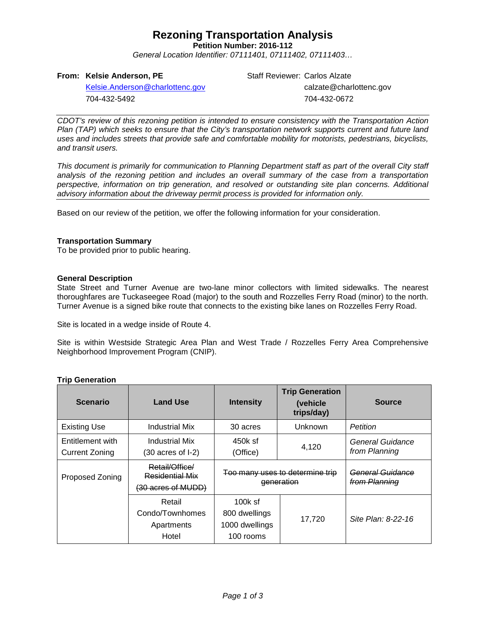## **Rezoning Transportation Analysis**

**Petition Number: 2016-112**

*General Location Identifier: 07111401, 07111402, 07111403…*

### **From: Kelsie Anderson, PE**

704-432-5492

[Kelsie.Anderson@charlottenc.gov](mailto:Kelsie.Anderson@charlottenc.gov)

Staff Reviewer: Carlos Alzate calzate@charlottenc.gov 704-432-0672

*CDOT's review of this rezoning petition is intended to ensure consistency with the Transportation Action Plan (TAP) which seeks to ensure that the City's transportation network supports current and future land uses and includes streets that provide safe and comfortable mobility for motorists, pedestrians, bicyclists, and transit users.*

*This document is primarily for communication to Planning Department staff as part of the overall City staff analysis of the rezoning petition and includes an overall summary of the case from a transportation perspective, information on trip generation, and resolved or outstanding site plan concerns. Additional advisory information about the driveway permit process is provided for information only.*

Based on our review of the petition, we offer the following information for your consideration.

#### **Transportation Summary**

To be provided prior to public hearing.

#### **General Description**

State Street and Turner Avenue are two-lane minor collectors with limited sidewalks. The nearest thoroughfares are Tuckaseegee Road (major) to the south and Rozzelles Ferry Road (minor) to the north. Turner Avenue is a signed bike route that connects to the existing bike lanes on Rozzelles Ferry Road.

Site is located in a wedge inside of Route 4.

Site is within Westside Strategic Area Plan and West Trade / Rozzelles Ferry Area Comprehensive Neighborhood Improvement Program (CNIP).

#### **Trip Generation**

| <b>Scenario</b>                           | <b>Land Use</b>                                                | <b>Intensity</b>                                          | <b>Trip Generation</b><br>(vehicle<br>trips/day) | <b>Source</b>                     |
|-------------------------------------------|----------------------------------------------------------------|-----------------------------------------------------------|--------------------------------------------------|-----------------------------------|
| <b>Existing Use</b>                       | Industrial Mix                                                 | 30 acres                                                  | Unknown                                          | Petition                          |
| Entitlement with<br><b>Current Zoning</b> | Industrial Mix<br>(30 acres of I-2)                            | $450k$ sf<br>(Office)                                     | 4,120                                            | General Guidance<br>from Planning |
| <b>Proposed Zoning</b>                    | Retail/Office/<br><b>Residential Mix</b><br>(30 acres of MUDD) | Too many uses to determine trip<br>eneration              |                                                  | General Guidance<br>from Planning |
|                                           | Retail<br>Condo/Townhomes<br>Apartments<br>Hotel               | $100k$ sf<br>800 dwellings<br>1000 dwellings<br>100 rooms | 17.720                                           | Site Plan: 8-22-16                |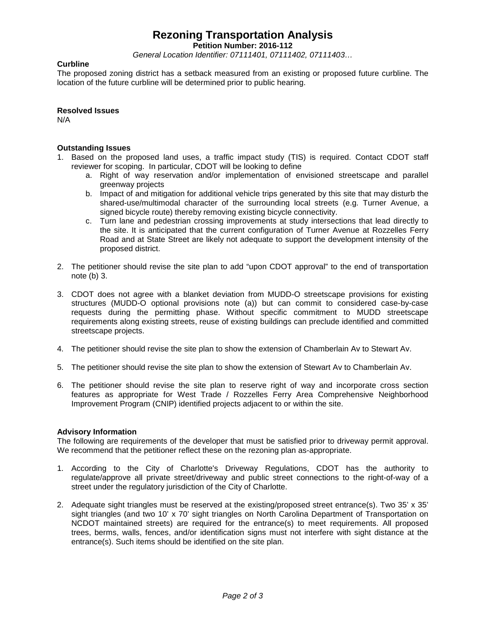## **Rezoning Transportation Analysis**

**Petition Number: 2016-112**

*General Location Identifier: 07111401, 07111402, 07111403…*

### **Curbline**

The proposed zoning district has a setback measured from an existing or proposed future curbline. The location of the future curbline will be determined prior to public hearing.

### **Resolved Issues**

N/A

#### **Outstanding Issues**

- 1. Based on the proposed land uses, a traffic impact study (TIS) is required. Contact CDOT staff reviewer for scoping. In particular, CDOT will be looking to define
	- a. Right of way reservation and/or implementation of envisioned streetscape and parallel greenway projects
	- b. Impact of and mitigation for additional vehicle trips generated by this site that may disturb the shared-use/multimodal character of the surrounding local streets (e.g. Turner Avenue, a signed bicycle route) thereby removing existing bicycle connectivity.
	- c. Turn lane and pedestrian crossing improvements at study intersections that lead directly to the site. It is anticipated that the current configuration of Turner Avenue at Rozzelles Ferry Road and at State Street are likely not adequate to support the development intensity of the proposed district.
- 2. The petitioner should revise the site plan to add "upon CDOT approval" to the end of transportation note (b) 3.
- 3. CDOT does not agree with a blanket deviation from MUDD-O streetscape provisions for existing structures (MUDD-O optional provisions note (a)) but can commit to considered case-by-case requests during the permitting phase. Without specific commitment to MUDD streetscape requirements along existing streets, reuse of existing buildings can preclude identified and committed streetscape projects.
- 4. The petitioner should revise the site plan to show the extension of Chamberlain Av to Stewart Av.
- 5. The petitioner should revise the site plan to show the extension of Stewart Av to Chamberlain Av.
- 6. The petitioner should revise the site plan to reserve right of way and incorporate cross section features as appropriate for West Trade / Rozzelles Ferry Area Comprehensive Neighborhood Improvement Program (CNIP) identified projects adjacent to or within the site.

#### **Advisory Information**

The following are requirements of the developer that must be satisfied prior to driveway permit approval. We recommend that the petitioner reflect these on the rezoning plan as-appropriate.

- 1. According to the City of Charlotte's Driveway Regulations, CDOT has the authority to regulate/approve all private street/driveway and public street connections to the right-of-way of a street under the regulatory jurisdiction of the City of Charlotte.
- 2. Adequate sight triangles must be reserved at the existing/proposed street entrance(s). Two 35' x 35' sight triangles (and two 10' x 70' sight triangles on North Carolina Department of Transportation on NCDOT maintained streets) are required for the entrance(s) to meet requirements. All proposed trees, berms, walls, fences, and/or identification signs must not interfere with sight distance at the entrance(s). Such items should be identified on the site plan.